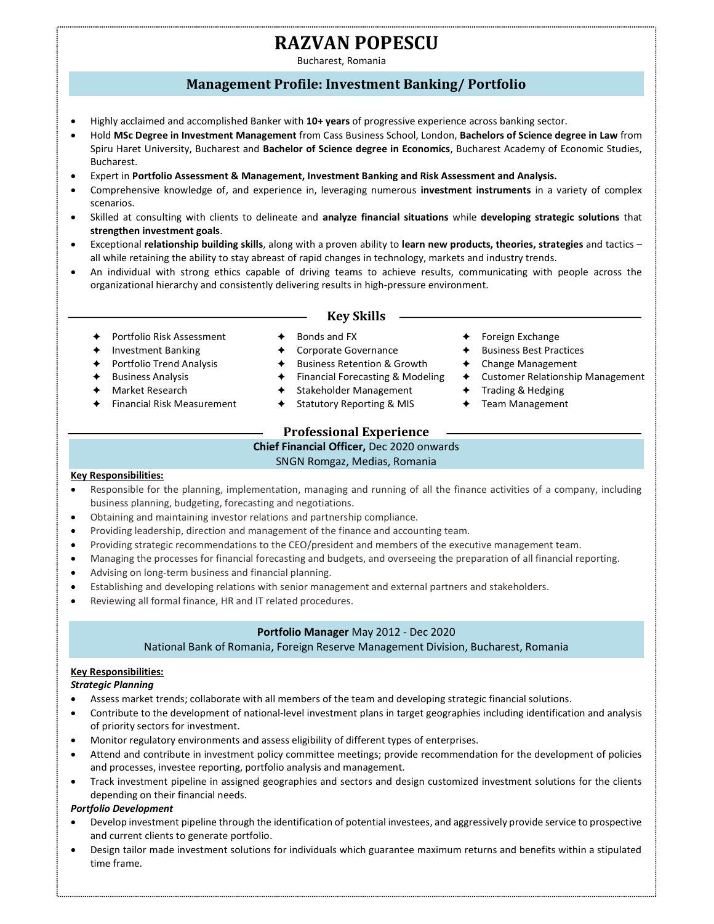# RAZVAN POPESCU

Bucharest, Romania

# Management Profile: Investment Banking/ Portfolio

- Highly acclaimed and accomplished Banker with 10+ years of progressive experience across banking sector.
- Hold MSc Degree in Investment Management from Cass Business School, London, Bachelors of Science degree in Law from Spiru Haret University, Bucharest and Bachelor of Science degree in Economics, Bucharest Academy of Economic Studies, Bucharest.
- Expert in Portfolio Assessment & Management, Investment Banking and Risk Assessment and Analysis.
- Comprehensive knowledge of, and experience in, leveraging numerous investment instruments in a variety of complex scenarios.
- Skilled at consulting with clients to delineate and analyze financial situations while developing strategic solutions that strengthen investment goals.
- Exceptional relationship building skills, along with a proven ability to learn new products, theories, strategies and tactics all while retaining the ability to stay abreast of rapid changes in technology, markets and industry trends.
- An individual with strong ethics capable of driving teams to achieve results, communicating with people across the organizational hierarchy and consistently delivering results in high-pressure environment.

### Key Skills

- ◆ Portfolio Risk Assessment
- Investment Banking
- Portfolio Trend Analysis
- Business Analysis
- Market Research
- Financial Risk Measurement
- $\triangleleft$  Bonds and FX
- Corporate Governance
- ◆ Business Retention & Growth
- ◆ Financial Forecasting & Modeling → Customer Relationship Management
- Stakeholder Management
- ◆ Statutory Reporting & MIS
- -

**←** Foreign Exchange

◆ Trading & Hedging Team Management

 Business Best Practices Change Management

# Professional Experience

Chief Financial Officer, Dec 2020 onwards

# SNGN Romgaz, Medias, Romania

#### Key Responsibilities:

- Responsible for the planning, implementation, managing and running of all the finance activities of a company, including business planning, budgeting, forecasting and negotiations.
- Obtaining and maintaining investor relations and partnership compliance.
- Providing leadership, direction and management of the finance and accounting team.
- Providing strategic recommendations to the CEO/president and members of the executive management team.
- Managing the processes for financial forecasting and budgets, and overseeing the preparation of all financial reporting.
- Advising on long-term business and financial planning.
- Establishing and developing relations with senior management and external partners and stakeholders.
- Reviewing all formal finance, HR and IT related procedures.

## Portfolio Manager May 2012 - Dec 2020

National Bank of Romania, Foreign Reserve Management Division, Bucharest, Romania

# Key Responsibilities:

#### Strategic Planning

- Assess market trends; collaborate with all members of the team and developing strategic financial solutions.
- Contribute to the development of national-level investment plans in target geographies including identification and analysis of priority sectors for investment.
- Monitor regulatory environments and assess eligibility of different types of enterprises.
- Attend and contribute in investment policy committee meetings; provide recommendation for the development of policies and processes, investee reporting, portfolio analysis and management.
- Track investment pipeline in assigned geographies and sectors and design customized investment solutions for the clients depending on their financial needs.

#### Portfolio Development

- Develop investment pipeline through the identification of potential investees, and aggressively provide service to prospective and current clients to generate portfolio.
- Design tailor made investment solutions for individuals which guarantee maximum returns and benefits within a stipulated time frame.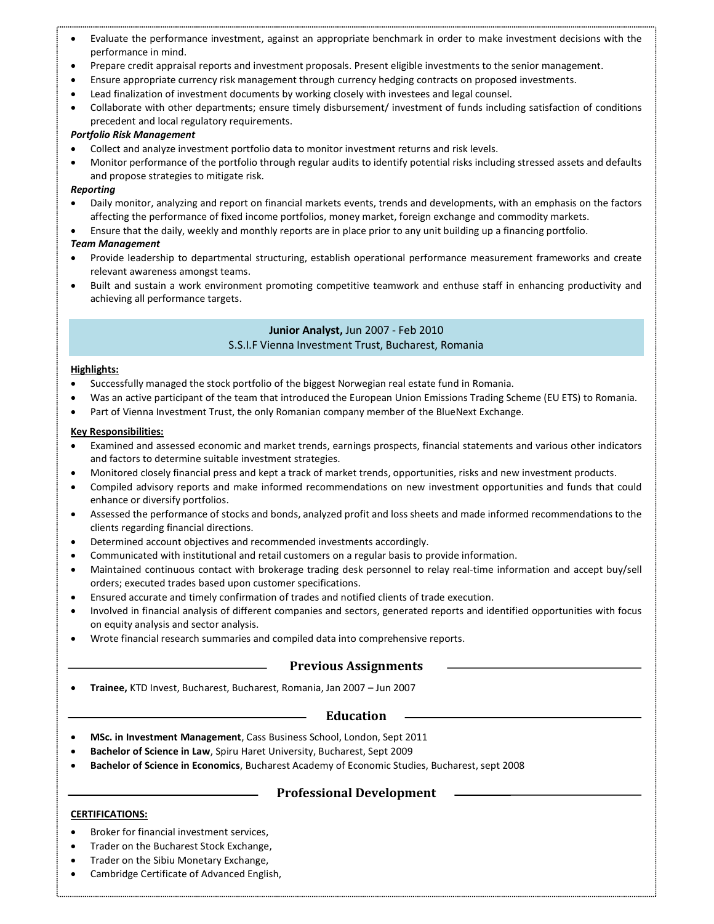- Evaluate the performance investment, against an appropriate benchmark in order to make investment decisions with the performance in mind.
- Prepare credit appraisal reports and investment proposals. Present eligible investments to the senior management.
- Ensure appropriate currency risk management through currency hedging contracts on proposed investments.
- Lead finalization of investment documents by working closely with investees and legal counsel.
- Collaborate with other departments; ensure timely disbursement/ investment of funds including satisfaction of conditions precedent and local regulatory requirements.

#### Portfolio Risk Management

- Collect and analyze investment portfolio data to monitor investment returns and risk levels.
- Monitor performance of the portfolio through regular audits to identify potential risks including stressed assets and defaults and propose strategies to mitigate risk.

#### Reporting

- Daily monitor, analyzing and report on financial markets events, trends and developments, with an emphasis on the factors affecting the performance of fixed income portfolios, money market, foreign exchange and commodity markets.
- Ensure that the daily, weekly and monthly reports are in place prior to any unit building up a financing portfolio.

#### Team Management

- Provide leadership to departmental structuring, establish operational performance measurement frameworks and create relevant awareness amongst teams.
- Built and sustain a work environment promoting competitive teamwork and enthuse staff in enhancing productivity and achieving all performance targets.

## Junior Analyst, Jun 2007 - Feb 2010 S.S.I.F Vienna Investment Trust, Bucharest, Romania

#### Highlights:

- Successfully managed the stock portfolio of the biggest Norwegian real estate fund in Romania.
- Was an active participant of the team that introduced the European Union Emissions Trading Scheme (EU ETS) to Romania.
- Part of Vienna Investment Trust, the only Romanian company member of the BlueNext Exchange.

#### Key Responsibilities:

- Examined and assessed economic and market trends, earnings prospects, financial statements and various other indicators and factors to determine suitable investment strategies.
- Monitored closely financial press and kept a track of market trends, opportunities, risks and new investment products.
- Compiled advisory reports and make informed recommendations on new investment opportunities and funds that could enhance or diversify portfolios.
- Assessed the performance of stocks and bonds, analyzed profit and loss sheets and made informed recommendations to the clients regarding financial directions.
- Determined account objectives and recommended investments accordingly.
- Communicated with institutional and retail customers on a regular basis to provide information.
- Maintained continuous contact with brokerage trading desk personnel to relay real-time information and accept buy/sell orders; executed trades based upon customer specifications.
- Ensured accurate and timely confirmation of trades and notified clients of trade execution.
- Involved in financial analysis of different companies and sectors, generated reports and identified opportunities with focus on equity analysis and sector analysis.
- Wrote financial research summaries and compiled data into comprehensive reports.

## Previous Assignments

Trainee, KTD Invest, Bucharest, Bucharest, Romania, Jan 2007 – Jun 2007

## Education

- MSc. in Investment Management, Cass Business School, London, Sept 2011
- Bachelor of Science in Law, Spiru Haret University, Bucharest, Sept 2009
- Bachelor of Science in Economics, Bucharest Academy of Economic Studies, Bucharest, sept 2008

# Professional Development

## CERTIFICATIONS:

- Broker for financial investment services.
- Trader on the Bucharest Stock Exchange,
- Trader on the Sibiu Monetary Exchange,
- Cambridge Certificate of Advanced English,